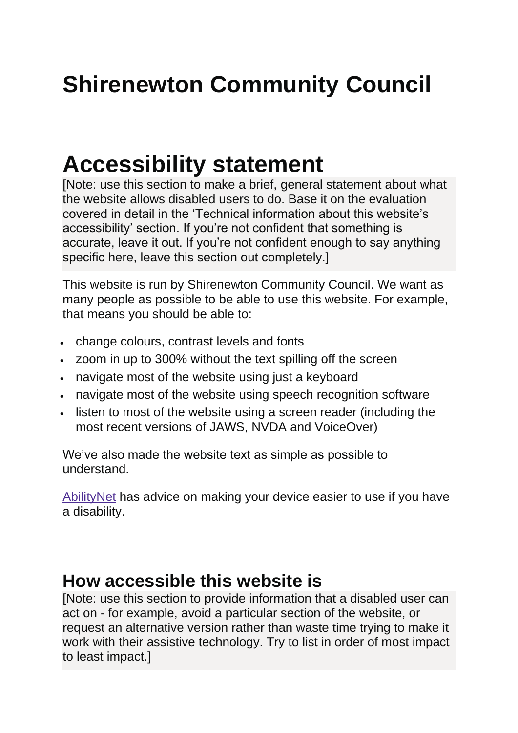# **Shirenewton Community Council**

## **Accessibility statement**

[Note: use this section to make a brief, general statement about what the website allows disabled users to do. Base it on the evaluation covered in detail in the 'Technical information about this website's accessibility' section. If you're not confident that something is accurate, leave it out. If you're not confident enough to say anything specific here, leave this section out completely.]

This website is run by Shirenewton Community Council. We want as many people as possible to be able to use this website. For example, that means you should be able to:

- change colours, contrast levels and fonts
- zoom in up to 300% without the text spilling off the screen
- navigate most of the website using just a keyboard
- navigate most of the website using speech recognition software
- listen to most of the website using a screen reader (including the most recent versions of JAWS, NVDA and VoiceOver)

We've also made the website text as simple as possible to understand.

[AbilityNet](https://mcmw.abilitynet.org.uk/) has advice on making your device easier to use if you have a disability.

#### **How accessible this website is**

[Note: use this section to provide information that a disabled user can act on - for example, avoid a particular section of the website, or request an alternative version rather than waste time trying to make it work with their assistive technology. Try to list in order of most impact to least impact.]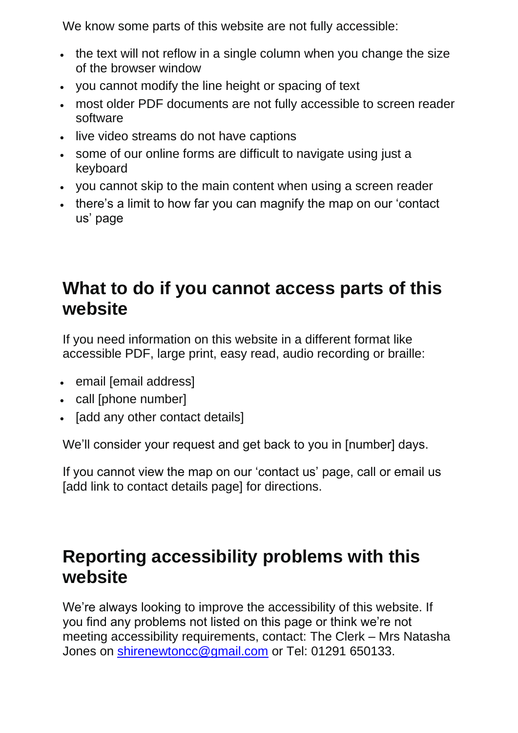We know some parts of this website are not fully accessible:

- the text will not reflow in a single column when you change the size of the browser window
- you cannot modify the line height or spacing of text
- most older PDF documents are not fully accessible to screen reader software
- live video streams do not have captions
- some of our online forms are difficult to navigate using just a keyboard
- you cannot skip to the main content when using a screen reader
- there's a limit to how far you can magnify the map on our 'contact us' page

### **What to do if you cannot access parts of this website**

If you need information on this website in a different format like accessible PDF, large print, easy read, audio recording or braille:

- email [email address]
- call [phone number]
- [add any other contact details]

We'll consider your request and get back to you in [number] days.

If you cannot view the map on our 'contact us' page, call or email us [add link to contact details page] for directions.

## **Reporting accessibility problems with this website**

We're always looking to improve the accessibility of this website. If you find any problems not listed on this page or think we're not meeting accessibility requirements, contact: The Clerk – Mrs Natasha Jones on [shirenewtoncc@gmail.com](mailto:shirenewtoncc@gmail.com) or Tel: 01291 650133.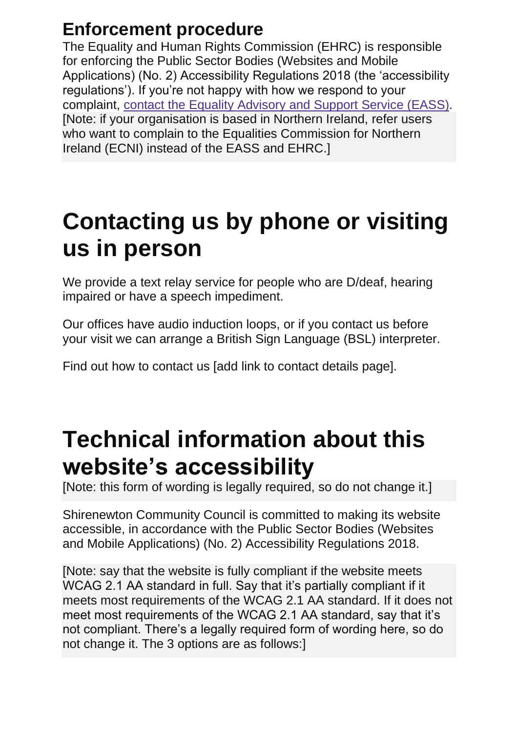## **Enforcement procedure**

The Equality and Human Rights Commission (EHRC) is responsible for enforcing the Public Sector Bodies (Websites and Mobile Applications) (No. 2) Accessibility Regulations 2018 (the 'accessibility regulations'). If you're not happy with how we respond to your complaint, contact the Equality [Advisory](https://www.equalityadvisoryservice.com/) and Support Service (EASS). [Note: if your organisation is based in Northern Ireland, refer users who want to complain to the Equalities Commission for Northern Ireland (ECNI) instead of the EASS and EHRC.]

## **Contacting us by phone or visiting us in person**

We provide a text relay service for people who are D/deaf, hearing impaired or have a speech impediment.

Our offices have audio induction loops, or if you contact us before your visit we can arrange a British Sign Language (BSL) interpreter.

Find out how to contact us [add link to contact details page].

## **Technical information about this website's accessibility**

[Note: this form of wording is legally required, so do not change it.]

Shirenewton Community Council is committed to making its website accessible, in accordance with the Public Sector Bodies (Websites and Mobile Applications) (No. 2) Accessibility Regulations 2018.

[Note: say that the website is fully compliant if the website meets WCAG 2.1 AA standard in full. Say that it's partially compliant if it meets most requirements of the WCAG 2.1 AA standard. If it does not meet most requirements of the WCAG 2.1 AA standard, say that it's not compliant. There's a legally required form of wording here, so do not change it. The 3 options are as follows:]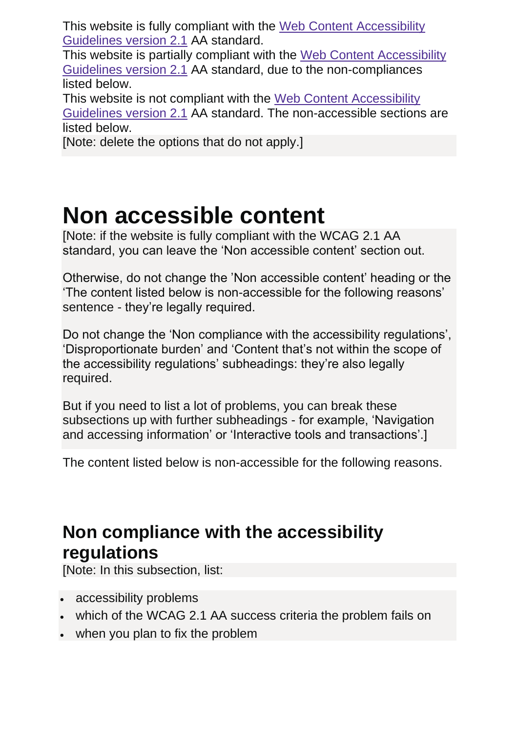This website is fully compliant with the Web Content [Accessibility](https://www.w3.org/TR/WCAG21/) [Guidelines](https://www.w3.org/TR/WCAG21/) version 2.1 AA standard.

This website is partially compliant with the Web Content [Accessibility](https://www.w3.org/TR/WCAG21/) [Guidelines](https://www.w3.org/TR/WCAG21/) version 2.1 AA standard, due to the non-compliances listed below.

This website is not compliant with the Web Content [Accessibility](https://www.w3.org/TR/WCAG21/) [Guidelines](https://www.w3.org/TR/WCAG21/) version 2.1 AA standard. The non-accessible sections are listed below.

[Note: delete the options that do not apply.]

# **Non accessible content**

[Note: if the website is fully compliant with the WCAG 2.1 AA standard, you can leave the 'Non accessible content' section out.

Otherwise, do not change the 'Non accessible content' heading or the 'The content listed below is non-accessible for the following reasons' sentence - they're legally required.

Do not change the 'Non compliance with the accessibility regulations', 'Disproportionate burden' and 'Content that's not within the scope of the accessibility regulations' subheadings: they're also legally required.

But if you need to list a lot of problems, you can break these subsections up with further subheadings - for example, 'Navigation and accessing information' or 'Interactive tools and transactions'.]

The content listed below is non-accessible for the following reasons.

## **Non compliance with the accessibility regulations**

[Note: In this subsection, list:

- accessibility problems
- which of the WCAG 2.1 AA success criteria the problem fails on
- when you plan to fix the problem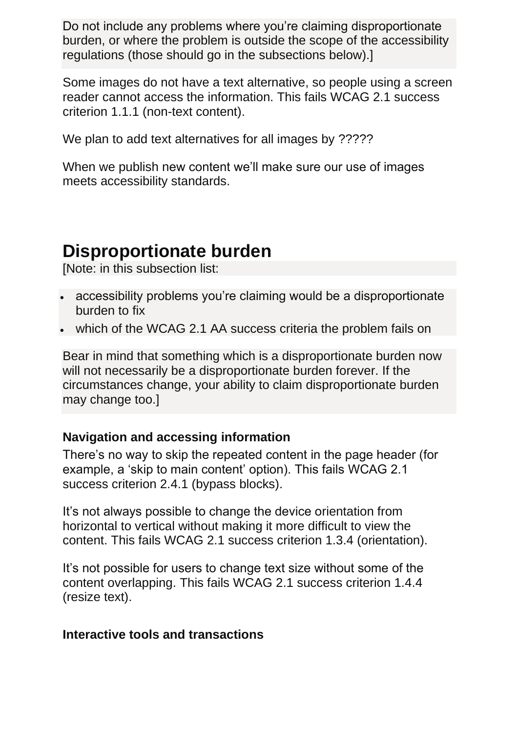Do not include any problems where you're claiming disproportionate burden, or where the problem is outside the scope of the accessibility regulations (those should go in the subsections below).]

Some images do not have a text alternative, so people using a screen reader cannot access the information. This fails WCAG 2.1 success criterion 1.1.1 (non-text content).

We plan to add text alternatives for all images by ?????

When we publish new content we'll make sure our use of images meets accessibility standards.

### **Disproportionate burden**

[Note: in this subsection list:

- accessibility problems you're claiming would be a disproportionate burden to fix
- which of the WCAG 2.1 AA success criteria the problem fails on

Bear in mind that something which is a disproportionate burden now will not necessarily be a disproportionate burden forever. If the circumstances change, your ability to claim disproportionate burden may change too.]

#### **Navigation and accessing information**

There's no way to skip the repeated content in the page header (for example, a 'skip to main content' option). This fails WCAG 2.1 success criterion 2.4.1 (bypass blocks).

It's not always possible to change the device orientation from horizontal to vertical without making it more difficult to view the content. This fails WCAG 2.1 success criterion 1.3.4 (orientation).

It's not possible for users to change text size without some of the content overlapping. This fails WCAG 2.1 success criterion 1.4.4 (resize text).

#### **Interactive tools and transactions**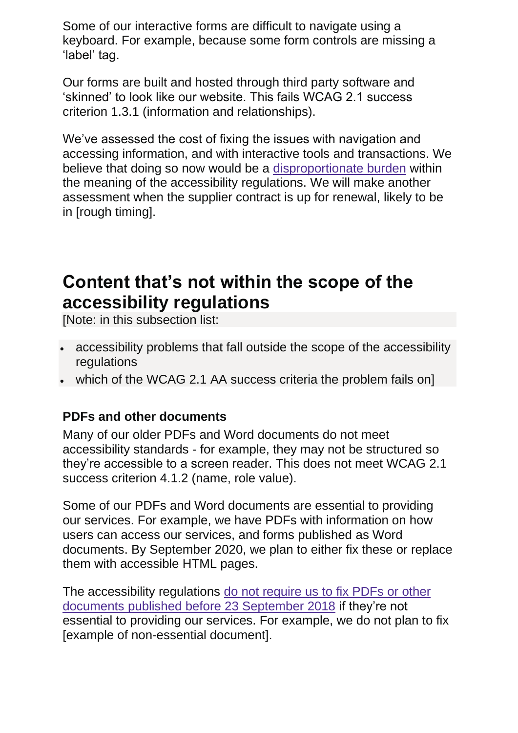Some of our interactive forms are difficult to navigate using a keyboard. For example, because some form controls are missing a 'label' tag.

Our forms are built and hosted through third party software and 'skinned' to look like our website. This fails WCAG 2.1 success criterion 1.3.1 (information and relationships).

We've assessed the cost of fixing the issues with navigation and accessing information, and with interactive tools and transactions. We believe that doing so now would be a [disproportionate](http://www.legislation.gov.uk/uksi/2018/952/regulation/7/made) burden within the meaning of the accessibility regulations. We will make another assessment when the supplier contract is up for renewal, likely to be in [rough timing].

### **Content that's not within the scope of the accessibility regulations**

[Note: in this subsection list:

- accessibility problems that fall outside the scope of the accessibility regulations
- which of the WCAG 2.1 AA success criteria the problem fails on]

#### **PDFs and other documents**

Many of our older PDFs and Word documents do not meet accessibility standards - for example, they may not be structured so they're accessible to a screen reader. This does not meet WCAG 2.1 success criterion 4.1.2 (name, role value).

Some of our PDFs and Word documents are essential to providing our services. For example, we have PDFs with information on how users can access our services, and forms published as Word documents. By September 2020, we plan to either fix these or replace them with accessible HTML pages.

The accessibility regulations do not [require](http://www.legislation.gov.uk/uksi/2018/952/regulation/4/made) us to fix PDFs or other documents published before 23 [September](http://www.legislation.gov.uk/uksi/2018/952/regulation/4/made) 2018 if they're not essential to providing our services. For example, we do not plan to fix [example of non-essential document].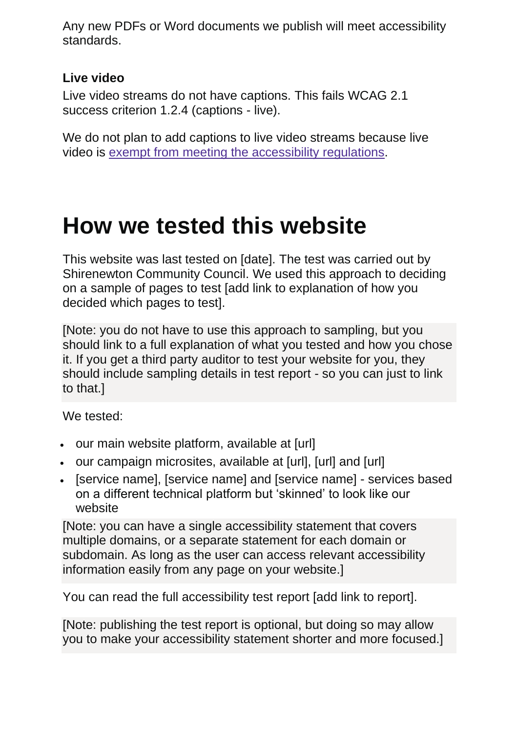Any new PDFs or Word documents we publish will meet accessibility standards.

#### **Live video**

Live video streams do not have captions. This fails WCAG 2.1 success criterion 1.2.4 (captions - live).

We do not plan to add captions to live video streams because live video is exempt from meeting the [accessibility](http://www.legislation.gov.uk/uksi/2018/952/regulation/4/made) regulations.

## **How we tested this website**

This website was last tested on [date]. The test was carried out by Shirenewton Community Council. We used this approach to deciding on a sample of pages to test [add link to explanation of how you decided which pages to test].

[Note: you do not have to use this approach to sampling, but you should link to a full explanation of what you tested and how you chose it. If you get a third party auditor to test your website for you, they should include sampling details in test report - so you can just to link to that.]

We tested:

- our main website platform, available at [url]
- our campaign microsites, available at [url], [url] and [url]
- [service name], [service name] and [service name] services based on a different technical platform but 'skinned' to look like our website

[Note: you can have a single accessibility statement that covers multiple domains, or a separate statement for each domain or subdomain. As long as the user can access relevant accessibility information easily from any page on your website.]

You can read the full accessibility test report [add link to report].

[Note: publishing the test report is optional, but doing so may allow you to make your accessibility statement shorter and more focused.]